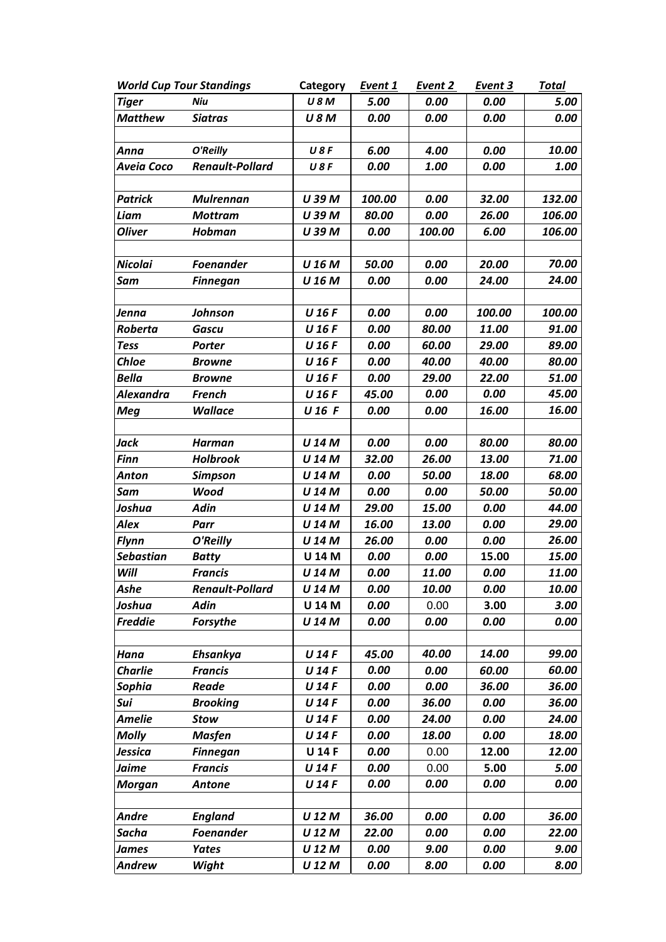| <b>World Cup Tour Standings</b> |                        | Category      | Event 1 | Event 2 | Event 3 | <b>Total</b> |
|---------------------------------|------------------------|---------------|---------|---------|---------|--------------|
| <b>Tiger</b>                    | Niu                    | <b>U8M</b>    | 5.00    | 0.00    | 0.00    | 5.00         |
| <b>Matthew</b>                  | <b>Siatras</b>         | <b>U8M</b>    | 0.00    | 0.00    | 0.00    | 0.00         |
|                                 |                        |               |         |         |         |              |
| Anna                            | O'Reilly               | U8F           | 6.00    | 4.00    | 0.00    | 10.00        |
| Aveia Coco                      | <b>Renault-Pollard</b> | <b>U8F</b>    | 0.00    | 1.00    | 0.00    | 1.00         |
|                                 |                        |               |         |         |         |              |
| <b>Patrick</b>                  | <b>Mulrennan</b>       | U 39 M        | 100.00  | 0.00    | 32.00   | 132.00       |
| Liam                            | <b>Mottram</b>         | U 39 M        | 80.00   | 0.00    | 26.00   | 106.00       |
| <b>Oliver</b>                   | Hobman                 | U 39 M        | 0.00    | 100.00  | 6.00    | 106.00       |
|                                 |                        |               |         |         |         |              |
| <b>Nicolai</b>                  | <b>Foenander</b>       | U 16 M        | 50.00   | 0.00    | 20.00   | 70.00        |
| Sam                             | <b>Finnegan</b>        | U 16 M        | 0.00    | 0.00    | 24.00   | 24.00        |
|                                 |                        |               |         |         |         |              |
| Jenna                           | Johnson                | U 16 F        | 0.00    | 0.00    | 100.00  | 100.00       |
| Roberta                         | <b>Gascu</b>           | U 16 F        | 0.00    | 80.00   | 11.00   | 91.00        |
| <b>Tess</b>                     | Porter                 | U 16 F        | 0.00    | 60.00   | 29.00   | 89.00        |
| <b>Chloe</b>                    | <b>Browne</b>          | U 16 F        | 0.00    | 40.00   | 40.00   | 80.00        |
| <b>Bella</b>                    | <b>Browne</b>          | U 16 F        | 0.00    | 29.00   | 22.00   | 51.00        |
| <b>Alexandra</b>                | <b>French</b>          | U 16 F        | 45.00   | 0.00    | 0.00    | 45.00        |
| <b>Meg</b>                      | <b>Wallace</b>         | U 16 F        | 0.00    | 0.00    | 16.00   | 16.00        |
|                                 |                        |               |         |         |         |              |
| Jack                            | <b>Harman</b>          | U 14 M        | 0.00    | 0.00    | 80.00   | 80.00        |
| <b>Finn</b>                     | <b>Holbrook</b>        | U 14 M        | 32.00   | 26.00   | 13.00   | 71.00        |
| Anton                           | <b>Simpson</b>         | U 14 M        | 0.00    | 50.00   | 18.00   | 68.00        |
| Sam                             | <b>Wood</b>            | U 14 M        | 0.00    | 0.00    | 50.00   | 50.00        |
| Joshua                          | <b>Adin</b>            | U 14 M        | 29.00   | 15.00   | 0.00    | 44.00        |
| Alex                            | Parr                   | U 14 M        | 16.00   | 13.00   | 0.00    | 29.00        |
| <b>Flynn</b>                    | O'Reilly               | U 14 M        | 26.00   | 0.00    | 0.00    | 26.00        |
| <b>Sebastian</b>                | <b>Batty</b>           | U 14 M        | 0.00    | 0.00    | 15.00   | 15.00        |
| Will                            | <b>Francis</b>         | U 14 M        | 0.00    | 11.00   | 0.00    | 11.00        |
| Ashe                            | <b>Renault-Pollard</b> | U 14 M        | 0.00    | 10.00   | 0.00    | 10.00        |
| Joshua                          | <b>Adin</b>            | U 14 M        | 0.00    | 0.00    | 3.00    | 3.00         |
| <b>Freddie</b>                  | <b>Forsythe</b>        | U 14 M        | 0.00    | 0.00    | 0.00    | 0.00         |
|                                 |                        |               |         |         |         |              |
| Hana                            | Ehsankya               | U 14 F        | 45.00   | 40.00   | 14.00   | 99.00        |
| <b>Charlie</b>                  | <b>Francis</b>         | U 14 F        | 0.00    | 0.00    | 60.00   | 60.00        |
| Sophia                          | Reade                  | U 14 F        | 0.00    | 0.00    | 36.00   | 36.00        |
| Sui                             | <b>Brooking</b>        | U 14 F        | 0.00    | 36.00   | 0.00    | 36.00        |
| Amelie                          | <b>Stow</b>            | U 14 F        | 0.00    | 24.00   | 0.00    | 24.00        |
| <b>Molly</b>                    | <b>Masfen</b>          | U 14 F        | 0.00    | 18.00   | 0.00    | 18.00        |
| Jessica                         | <b>Finnegan</b>        | <b>U 14 F</b> | 0.00    | 0.00    | 12.00   | 12.00        |
| Jaime                           | <b>Francis</b>         | U 14 F        | 0.00    | 0.00    | 5.00    | 5.00         |
| <b>Morgan</b>                   | <b>Antone</b>          | U 14 F        | 0.00    | 0.00    | 0.00    | 0.00         |
|                                 |                        |               |         |         |         |              |
| <b>Andre</b>                    | <b>England</b>         | U 12 M        | 36.00   | 0.00    | 0.00    | 36.00        |
| Sacha                           | <b>Foenander</b>       | U 12 M        | 22.00   | 0.00    | 0.00    | 22.00        |
| <b>James</b>                    | <b>Yates</b>           | U 12 M        | 0.00    | 9.00    | 0.00    | 9.00         |
| <b>Andrew</b>                   | Wight                  | U 12 M        | 0.00    | 8.00    | 0.00    | 8.00         |